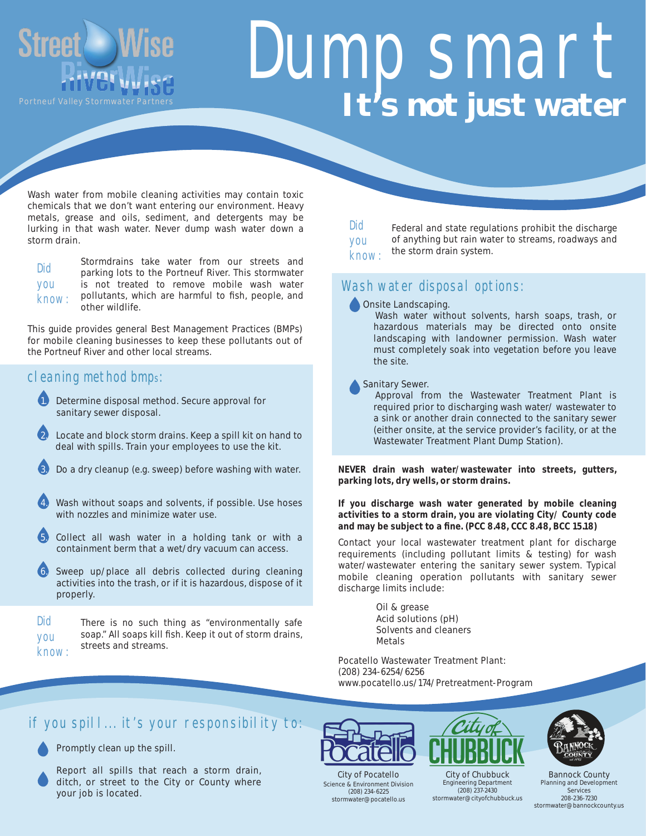

# DUMP SMART **It's not just water**

Wash water from mobile cleaning activities may contain toxic chemicals that we don't want entering our environment. Heavy metals, grease and oils, sediment, and detergents may be lurking in that wash water. Never dump wash water down a storm drain.

|              | Stormdrains take water from our streets and         |  |  |
|--------------|-----------------------------------------------------|--|--|
| <b>DID</b>   | parking lots to the Portneuf River. This stormwater |  |  |
| <b>YOU</b>   | is not treated to remove mobile wash water          |  |  |
| <b>KNOW:</b> | pollutants, which are harmful to fish, people, and  |  |  |
|              | other wildlife.                                     |  |  |

This guide provides general Best Management Practices (BMPs) for mobile cleaning businesses to keep these pollutants out of the Portneuf River and other local streams.

#### cleaning method bmps:

- 1. Determine disposal method. Secure approval for sanitary sewer disposal.
- 2. Locate and block storm drains. Keep a spill kit on hand to deal with spills. Train your employees to use the kit.
- Do a dry cleanup (e.g. sweep) before washing with water.
- Wash without soaps and solvents, if possible. Use hoses with nozzles and minimize water use.
- 5. Collect all wash water in a holding tank or with a containment berm that a wet/dry vacuum can access.
- Sweep up/place all debris collected during cleaning activities into the trash, or if it is hazardous, dispose of it properly.
- There is no such thing as "environmentally safe soap." All soaps kill fish. Keep it out of storm drains, streets and streams. Did you know:

Did you know:

Federal and state regulations prohibit the discharge of anything but rain water to streams, roadways and the storm drain system.

#### WASH WATER DISPOSAL OPTIONS:

**Onsite Landscaping.** 

 Wash water without solvents, harsh soaps, trash, or hazardous materials may be directed onto onsite landscaping with landowner permission. Wash water must completely soak into vegetation before you leave the site.

Sanitary Sewer.

 Approval from the Wastewater Treatment Plant is required prior to discharging wash water/ wastewater to a sink or another drain connected to the sanitary sewer (either onsite, at the service provider's facility, or at the Wastewater Treatment Plant Dump Station).

**NEVER drain wash water/wastewater into streets, gutters, parking lots, dry wells, or storm drains.**

#### **If you discharge wash water generated by mobile cleaning activities to a storm drain, you are violating City/ County code and may be subject to a fine. (PCC 8.48, CCC 8.48, BCC 15.18)**

Contact your local wastewater treatment plant for discharge requirements (including pollutant limits & testing) for wash water/wastewater entering the sanitary sewer system. Typical mobile cleaning operation pollutants with sanitary sewer discharge limits include:

> Oil & grease Acid solutions (pH) Solvents and cleaners Metals

Pocatello Wastewater Treatment Plant: (208) 234-6254/6256 www.pocatello.us/174/Pretreatment-Program

#### if you spill... it's your responsibility to:



Promptly clean up the spill.

Report all spills that reach a storm drain, ditch, or street to the City or County where your job is located.



City of Pocatello Science & Environment Division (208) 234-6225 stormwater@pocatello.us



Engineering Department (208) 237-2430 stormwater@cityofchubbuck.us



Bannock County Planning and Development Services 208-236-7230 stormwater@bannockcounty.us